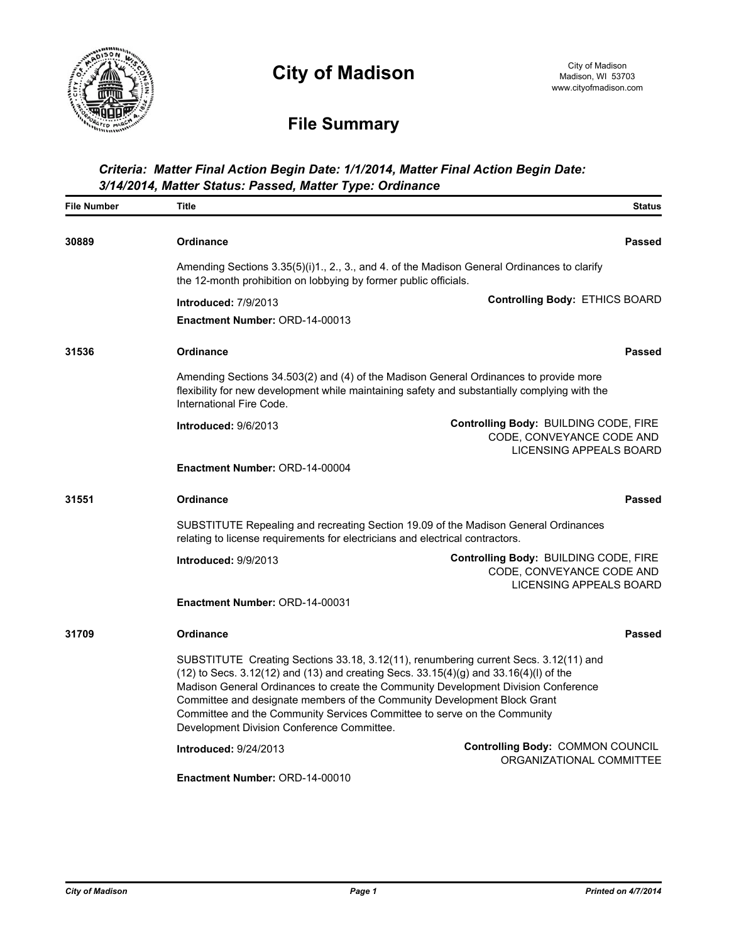

# **City of Madison**

## **File Summary**

#### *Criteria: Matter Final Action Begin Date: 1/1/2014, Matter Final Action Begin Date: 3/14/2014, Matter Status: Passed, Matter Type: Ordinance*

| <b>File Number</b> | <b>Title</b>                                                                                                                                                                                                                                                                                                                                                                                                                                                                | <b>Status</b>                                                                                 |  |
|--------------------|-----------------------------------------------------------------------------------------------------------------------------------------------------------------------------------------------------------------------------------------------------------------------------------------------------------------------------------------------------------------------------------------------------------------------------------------------------------------------------|-----------------------------------------------------------------------------------------------|--|
| 30889              | <b>Ordinance</b>                                                                                                                                                                                                                                                                                                                                                                                                                                                            | <b>Passed</b>                                                                                 |  |
|                    | Amending Sections 3.35(5)(i)1., 2., 3., and 4. of the Madison General Ordinances to clarify<br>the 12-month prohibition on lobbying by former public officials.                                                                                                                                                                                                                                                                                                             |                                                                                               |  |
|                    | <b>Introduced: 7/9/2013</b>                                                                                                                                                                                                                                                                                                                                                                                                                                                 | Controlling Body: ETHICS BOARD                                                                |  |
|                    | <b>Enactment Number: ORD-14-00013</b>                                                                                                                                                                                                                                                                                                                                                                                                                                       |                                                                                               |  |
| 31536              | <b>Ordinance</b>                                                                                                                                                                                                                                                                                                                                                                                                                                                            | <b>Passed</b>                                                                                 |  |
|                    | Amending Sections 34.503(2) and (4) of the Madison General Ordinances to provide more<br>flexibility for new development while maintaining safety and substantially complying with the<br>International Fire Code.                                                                                                                                                                                                                                                          |                                                                                               |  |
|                    | Introduced: 9/6/2013                                                                                                                                                                                                                                                                                                                                                                                                                                                        | Controlling Body: BUILDING CODE, FIRE<br>CODE, CONVEYANCE CODE AND<br>LICENSING APPEALS BOARD |  |
|                    | Enactment Number: ORD-14-00004                                                                                                                                                                                                                                                                                                                                                                                                                                              |                                                                                               |  |
| 31551              | Ordinance                                                                                                                                                                                                                                                                                                                                                                                                                                                                   | <b>Passed</b>                                                                                 |  |
|                    | SUBSTITUTE Repealing and recreating Section 19.09 of the Madison General Ordinances<br>relating to license requirements for electricians and electrical contractors.                                                                                                                                                                                                                                                                                                        |                                                                                               |  |
|                    | Introduced: 9/9/2013                                                                                                                                                                                                                                                                                                                                                                                                                                                        | Controlling Body: BUILDING CODE, FIRE<br>CODE, CONVEYANCE CODE AND<br>LICENSING APPEALS BOARD |  |
|                    | Enactment Number: ORD-14-00031                                                                                                                                                                                                                                                                                                                                                                                                                                              |                                                                                               |  |
| 31709              | Ordinance                                                                                                                                                                                                                                                                                                                                                                                                                                                                   | <b>Passed</b>                                                                                 |  |
|                    | SUBSTITUTE Creating Sections 33.18, 3.12(11), renumbering current Secs. 3.12(11) and<br>$(12)$ to Secs. 3.12(12) and (13) and creating Secs. 33.15(4)(g) and 33.16(4)(l) of the<br>Madison General Ordinances to create the Community Development Division Conference<br>Committee and designate members of the Community Development Block Grant<br>Committee and the Community Services Committee to serve on the Community<br>Development Division Conference Committee. |                                                                                               |  |
|                    | <b>Introduced: 9/24/2013</b>                                                                                                                                                                                                                                                                                                                                                                                                                                                | Controlling Body: COMMON COUNCIL<br>ORGANIZATIONAL COMMITTEE                                  |  |
|                    | Enactment Number: ORD-14-00010                                                                                                                                                                                                                                                                                                                                                                                                                                              |                                                                                               |  |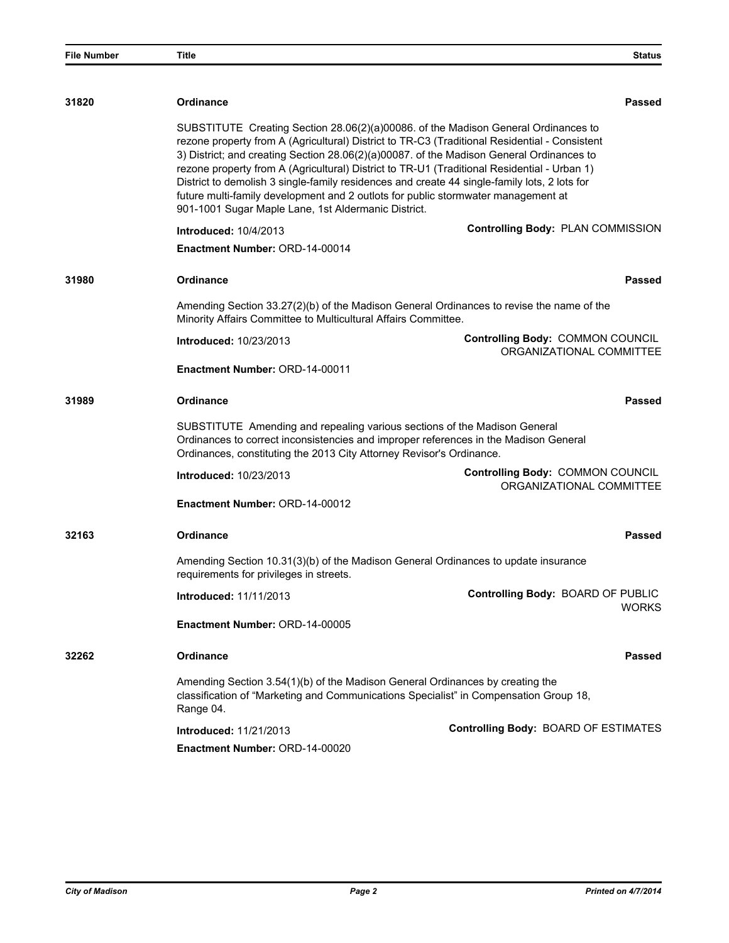| <b>File Number</b> | Title                                                                                                                                                                                                                                     | <b>Status</b>                                                                                                                                                                                                                                                                                                                                                                                                                                                                                                                                                       |  |
|--------------------|-------------------------------------------------------------------------------------------------------------------------------------------------------------------------------------------------------------------------------------------|---------------------------------------------------------------------------------------------------------------------------------------------------------------------------------------------------------------------------------------------------------------------------------------------------------------------------------------------------------------------------------------------------------------------------------------------------------------------------------------------------------------------------------------------------------------------|--|
|                    |                                                                                                                                                                                                                                           |                                                                                                                                                                                                                                                                                                                                                                                                                                                                                                                                                                     |  |
| 31820              | <b>Ordinance</b>                                                                                                                                                                                                                          | Passed                                                                                                                                                                                                                                                                                                                                                                                                                                                                                                                                                              |  |
|                    | 901-1001 Sugar Maple Lane, 1st Aldermanic District.                                                                                                                                                                                       | SUBSTITUTE Creating Section 28.06(2)(a)00086. of the Madison General Ordinances to<br>rezone property from A (Agricultural) District to TR-C3 (Traditional Residential - Consistent<br>3) District; and creating Section 28.06(2)(a)00087. of the Madison General Ordinances to<br>rezone property from A (Agricultural) District to TR-U1 (Traditional Residential - Urban 1)<br>District to demolish 3 single-family residences and create 44 single-family lots, 2 lots for<br>future multi-family development and 2 outlots for public stormwater management at |  |
|                    | <b>Introduced: 10/4/2013</b>                                                                                                                                                                                                              | Controlling Body: PLAN COMMISSION                                                                                                                                                                                                                                                                                                                                                                                                                                                                                                                                   |  |
|                    | Enactment Number: ORD-14-00014                                                                                                                                                                                                            |                                                                                                                                                                                                                                                                                                                                                                                                                                                                                                                                                                     |  |
| 31980              | <b>Ordinance</b>                                                                                                                                                                                                                          | Passed                                                                                                                                                                                                                                                                                                                                                                                                                                                                                                                                                              |  |
|                    | Minority Affairs Committee to Multicultural Affairs Committee.                                                                                                                                                                            | Amending Section 33.27(2)(b) of the Madison General Ordinances to revise the name of the                                                                                                                                                                                                                                                                                                                                                                                                                                                                            |  |
|                    | <b>Introduced: 10/23/2013</b>                                                                                                                                                                                                             | Controlling Body: COMMON COUNCIL<br>ORGANIZATIONAL COMMITTEE                                                                                                                                                                                                                                                                                                                                                                                                                                                                                                        |  |
|                    | Enactment Number: ORD-14-00011                                                                                                                                                                                                            |                                                                                                                                                                                                                                                                                                                                                                                                                                                                                                                                                                     |  |
| 31989              | <b>Ordinance</b>                                                                                                                                                                                                                          | Passed                                                                                                                                                                                                                                                                                                                                                                                                                                                                                                                                                              |  |
|                    | SUBSTITUTE Amending and repealing various sections of the Madison General<br>Ordinances to correct inconsistencies and improper references in the Madison General<br>Ordinances, constituting the 2013 City Attorney Revisor's Ordinance. |                                                                                                                                                                                                                                                                                                                                                                                                                                                                                                                                                                     |  |
|                    | <b>Introduced: 10/23/2013</b>                                                                                                                                                                                                             | Controlling Body: COMMON COUNCIL<br>ORGANIZATIONAL COMMITTEE                                                                                                                                                                                                                                                                                                                                                                                                                                                                                                        |  |
|                    | <b>Enactment Number: ORD-14-00012</b>                                                                                                                                                                                                     |                                                                                                                                                                                                                                                                                                                                                                                                                                                                                                                                                                     |  |
| 32163              | Ordinance                                                                                                                                                                                                                                 | Passed                                                                                                                                                                                                                                                                                                                                                                                                                                                                                                                                                              |  |
|                    | Amending Section 10.31(3)(b) of the Madison General Ordinances to update insurance<br>requirements for privileges in streets.                                                                                                             |                                                                                                                                                                                                                                                                                                                                                                                                                                                                                                                                                                     |  |
|                    | <b>Introduced: 11/11/2013</b>                                                                                                                                                                                                             | Controlling Body: BOARD OF PUBLIC<br><b>WORKS</b>                                                                                                                                                                                                                                                                                                                                                                                                                                                                                                                   |  |
|                    | Enactment Number: ORD-14-00005                                                                                                                                                                                                            |                                                                                                                                                                                                                                                                                                                                                                                                                                                                                                                                                                     |  |
| 32262              | Ordinance                                                                                                                                                                                                                                 | <b>Passed</b>                                                                                                                                                                                                                                                                                                                                                                                                                                                                                                                                                       |  |
|                    | Amending Section 3.54(1)(b) of the Madison General Ordinances by creating the<br>Range 04.                                                                                                                                                | classification of "Marketing and Communications Specialist" in Compensation Group 18,                                                                                                                                                                                                                                                                                                                                                                                                                                                                               |  |
|                    | <b>Introduced: 11/21/2013</b><br><b>Enactment Number: ORD-14-00020</b>                                                                                                                                                                    | Controlling Body: BOARD OF ESTIMATES                                                                                                                                                                                                                                                                                                                                                                                                                                                                                                                                |  |
|                    |                                                                                                                                                                                                                                           |                                                                                                                                                                                                                                                                                                                                                                                                                                                                                                                                                                     |  |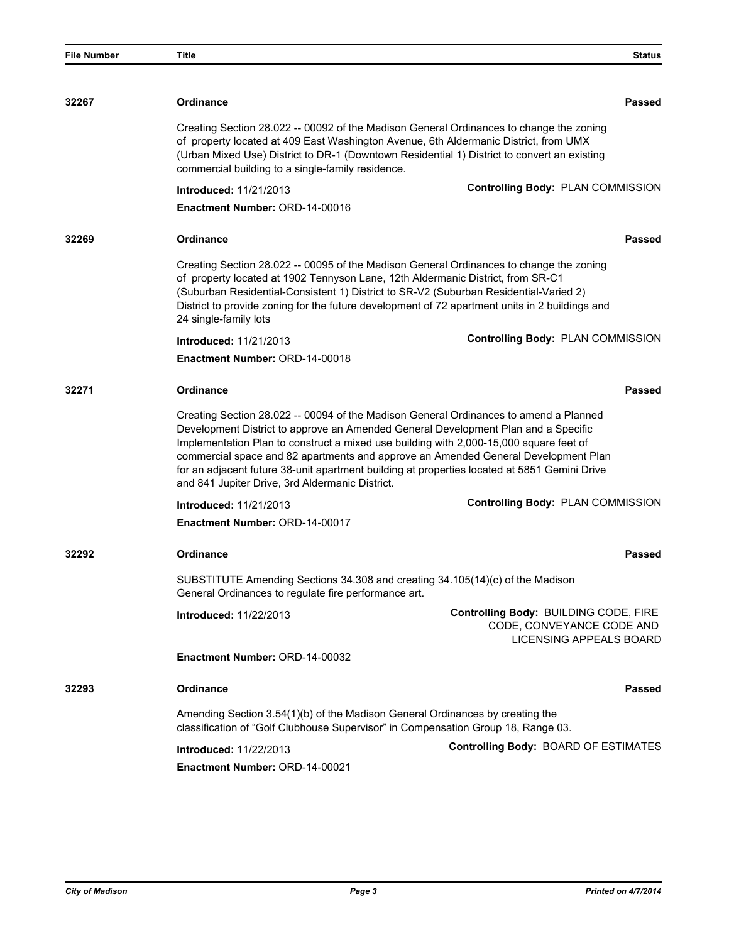| <b>File Number</b> | Title                                                                                                                                                                                                                           | <b>Status</b>                                                                                                                                                                                                                                                               |
|--------------------|---------------------------------------------------------------------------------------------------------------------------------------------------------------------------------------------------------------------------------|-----------------------------------------------------------------------------------------------------------------------------------------------------------------------------------------------------------------------------------------------------------------------------|
|                    |                                                                                                                                                                                                                                 |                                                                                                                                                                                                                                                                             |
| 32267              | <b>Ordinance</b>                                                                                                                                                                                                                | Passed                                                                                                                                                                                                                                                                      |
|                    | of property located at 409 East Washington Avenue, 6th Aldermanic District, from UMX<br>commercial building to a single-family residence.                                                                                       | Creating Section 28.022 -- 00092 of the Madison General Ordinances to change the zoning<br>(Urban Mixed Use) District to DR-1 (Downtown Residential 1) District to convert an existing                                                                                      |
|                    | <b>Introduced: 11/21/2013</b>                                                                                                                                                                                                   | Controlling Body: PLAN COMMISSION                                                                                                                                                                                                                                           |
|                    | <b>Enactment Number: ORD-14-00016</b>                                                                                                                                                                                           |                                                                                                                                                                                                                                                                             |
| 32269              | Ordinance                                                                                                                                                                                                                       | Passed                                                                                                                                                                                                                                                                      |
|                    | of property located at 1902 Tennyson Lane, 12th Aldermanic District, from SR-C1<br>(Suburban Residential-Consistent 1) District to SR-V2 (Suburban Residential-Varied 2)<br>24 single-family lots                               | Creating Section 28.022 -- 00095 of the Madison General Ordinances to change the zoning<br>District to provide zoning for the future development of 72 apartment units in 2 buildings and                                                                                   |
|                    | <b>Introduced: 11/21/2013</b>                                                                                                                                                                                                   | Controlling Body: PLAN COMMISSION                                                                                                                                                                                                                                           |
|                    | Enactment Number: ORD-14-00018                                                                                                                                                                                                  |                                                                                                                                                                                                                                                                             |
| 32271              | <b>Ordinance</b>                                                                                                                                                                                                                | Passed                                                                                                                                                                                                                                                                      |
|                    | Development District to approve an Amended General Development Plan and a Specific<br>Implementation Plan to construct a mixed use building with 2,000-15,000 square feet of<br>and 841 Jupiter Drive, 3rd Aldermanic District. | Creating Section 28.022 -- 00094 of the Madison General Ordinances to amend a Planned<br>commercial space and 82 apartments and approve an Amended General Development Plan<br>for an adjacent future 38-unit apartment building at properties located at 5851 Gemini Drive |
|                    | <b>Introduced: 11/21/2013</b>                                                                                                                                                                                                   | Controlling Body: PLAN COMMISSION                                                                                                                                                                                                                                           |
|                    | Enactment Number: ORD-14-00017                                                                                                                                                                                                  |                                                                                                                                                                                                                                                                             |
| 32292              | Ordinance                                                                                                                                                                                                                       | Passed                                                                                                                                                                                                                                                                      |
|                    | SUBSTITUTE Amending Sections 34.308 and creating 34.105(14)(c) of the Madison<br>General Ordinances to regulate fire performance art.                                                                                           |                                                                                                                                                                                                                                                                             |
|                    | Introduced: 11/22/2013                                                                                                                                                                                                          | Controlling Body: BUILDING CODE, FIRE<br>CODE, CONVEYANCE CODE AND<br>LICENSING APPEALS BOARD                                                                                                                                                                               |
|                    | Enactment Number: ORD-14-00032                                                                                                                                                                                                  |                                                                                                                                                                                                                                                                             |
| 32293              | <b>Ordinance</b>                                                                                                                                                                                                                | Passed                                                                                                                                                                                                                                                                      |
|                    | Amending Section 3.54(1)(b) of the Madison General Ordinances by creating the<br>classification of "Golf Clubhouse Supervisor" in Compensation Group 18, Range 03.                                                              |                                                                                                                                                                                                                                                                             |
|                    | <b>Introduced: 11/22/2013</b>                                                                                                                                                                                                   | Controlling Body: BOARD OF ESTIMATES                                                                                                                                                                                                                                        |
|                    | Enactment Number: ORD-14-00021                                                                                                                                                                                                  |                                                                                                                                                                                                                                                                             |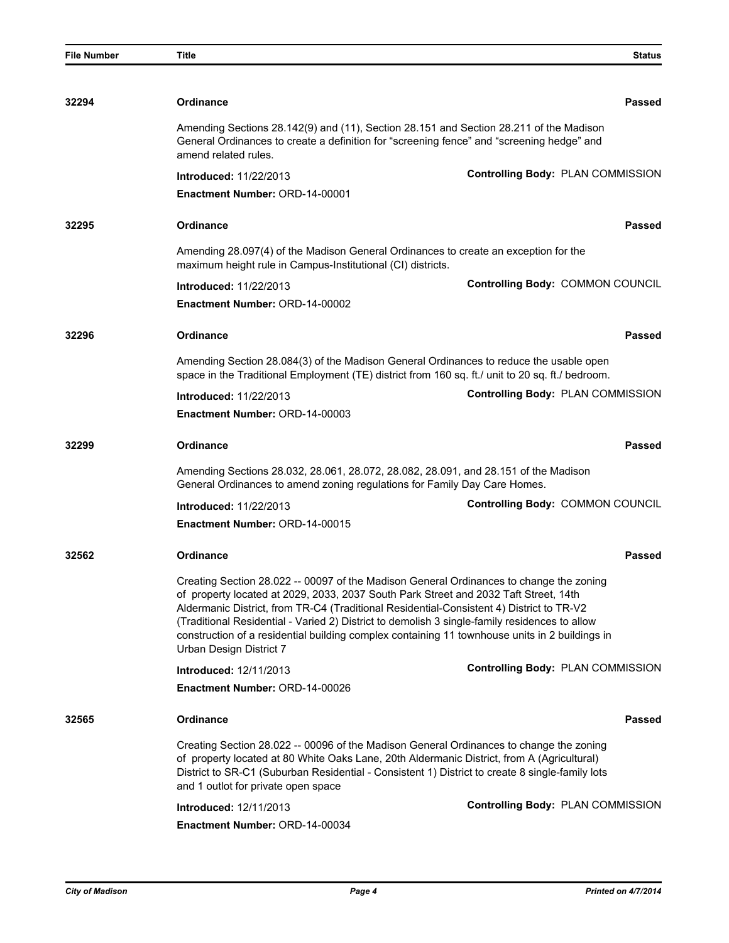| <b>File Number</b> | <b>Title</b>                                                                                                                                                                                                                                                                                                                                                                                                                                                                                              | <b>Status</b>                     |  |
|--------------------|-----------------------------------------------------------------------------------------------------------------------------------------------------------------------------------------------------------------------------------------------------------------------------------------------------------------------------------------------------------------------------------------------------------------------------------------------------------------------------------------------------------|-----------------------------------|--|
|                    |                                                                                                                                                                                                                                                                                                                                                                                                                                                                                                           |                                   |  |
| 32294              | <b>Ordinance</b>                                                                                                                                                                                                                                                                                                                                                                                                                                                                                          | <b>Passed</b>                     |  |
|                    | Amending Sections 28.142(9) and (11), Section 28.151 and Section 28.211 of the Madison<br>General Ordinances to create a definition for "screening fence" and "screening hedge" and<br>amend related rules.                                                                                                                                                                                                                                                                                               |                                   |  |
|                    | <b>Introduced: 11/22/2013</b>                                                                                                                                                                                                                                                                                                                                                                                                                                                                             | Controlling Body: PLAN COMMISSION |  |
|                    | <b>Enactment Number: ORD-14-00001</b>                                                                                                                                                                                                                                                                                                                                                                                                                                                                     |                                   |  |
| 32295              | <b>Ordinance</b>                                                                                                                                                                                                                                                                                                                                                                                                                                                                                          | Passed                            |  |
|                    | Amending 28.097(4) of the Madison General Ordinances to create an exception for the<br>maximum height rule in Campus-Institutional (CI) districts.                                                                                                                                                                                                                                                                                                                                                        |                                   |  |
|                    | <b>Introduced: 11/22/2013</b>                                                                                                                                                                                                                                                                                                                                                                                                                                                                             | Controlling Body: COMMON COUNCIL  |  |
|                    | Enactment Number: ORD-14-00002                                                                                                                                                                                                                                                                                                                                                                                                                                                                            |                                   |  |
| 32296              | <b>Ordinance</b>                                                                                                                                                                                                                                                                                                                                                                                                                                                                                          | Passed                            |  |
|                    | Amending Section 28.084(3) of the Madison General Ordinances to reduce the usable open<br>space in the Traditional Employment (TE) district from 160 sq. ft./ unit to 20 sq. ft./ bedroom.                                                                                                                                                                                                                                                                                                                |                                   |  |
|                    | <b>Introduced: 11/22/2013</b>                                                                                                                                                                                                                                                                                                                                                                                                                                                                             | Controlling Body: PLAN COMMISSION |  |
|                    | <b>Enactment Number: ORD-14-00003</b>                                                                                                                                                                                                                                                                                                                                                                                                                                                                     |                                   |  |
| 32299              | <b>Ordinance</b>                                                                                                                                                                                                                                                                                                                                                                                                                                                                                          | Passed                            |  |
|                    | Amending Sections 28.032, 28.061, 28.072, 28.082, 28.091, and 28.151 of the Madison<br>General Ordinances to amend zoning regulations for Family Day Care Homes.                                                                                                                                                                                                                                                                                                                                          |                                   |  |
|                    | <b>Introduced: 11/22/2013</b>                                                                                                                                                                                                                                                                                                                                                                                                                                                                             | Controlling Body: COMMON COUNCIL  |  |
|                    | Enactment Number: ORD-14-00015                                                                                                                                                                                                                                                                                                                                                                                                                                                                            |                                   |  |
| 32562              | <b>Ordinance</b>                                                                                                                                                                                                                                                                                                                                                                                                                                                                                          | Passed                            |  |
|                    | Creating Section 28.022 -- 00097 of the Madison General Ordinances to change the zoning<br>of property located at 2029, 2033, 2037 South Park Street and 2032 Taft Street, 14th<br>Aldermanic District, from TR-C4 (Traditional Residential-Consistent 4) District to TR-V2<br>(Traditional Residential - Varied 2) District to demolish 3 single-family residences to allow<br>construction of a residential building complex containing 11 townhouse units in 2 buildings in<br>Urban Design District 7 |                                   |  |
|                    | Introduced: 12/11/2013                                                                                                                                                                                                                                                                                                                                                                                                                                                                                    | Controlling Body: PLAN COMMISSION |  |
|                    | <b>Enactment Number: ORD-14-00026</b>                                                                                                                                                                                                                                                                                                                                                                                                                                                                     |                                   |  |
| 32565              | Ordinance                                                                                                                                                                                                                                                                                                                                                                                                                                                                                                 | <b>Passed</b>                     |  |
|                    | Creating Section 28.022 -- 00096 of the Madison General Ordinances to change the zoning<br>of property located at 80 White Oaks Lane, 20th Aldermanic District, from A (Agricultural)<br>District to SR-C1 (Suburban Residential - Consistent 1) District to create 8 single-family lots<br>and 1 outlot for private open space                                                                                                                                                                           |                                   |  |
|                    | <b>Introduced: 12/11/2013</b>                                                                                                                                                                                                                                                                                                                                                                                                                                                                             | Controlling Body: PLAN COMMISSION |  |
|                    | Enactment Number: ORD-14-00034                                                                                                                                                                                                                                                                                                                                                                                                                                                                            |                                   |  |
|                    |                                                                                                                                                                                                                                                                                                                                                                                                                                                                                                           |                                   |  |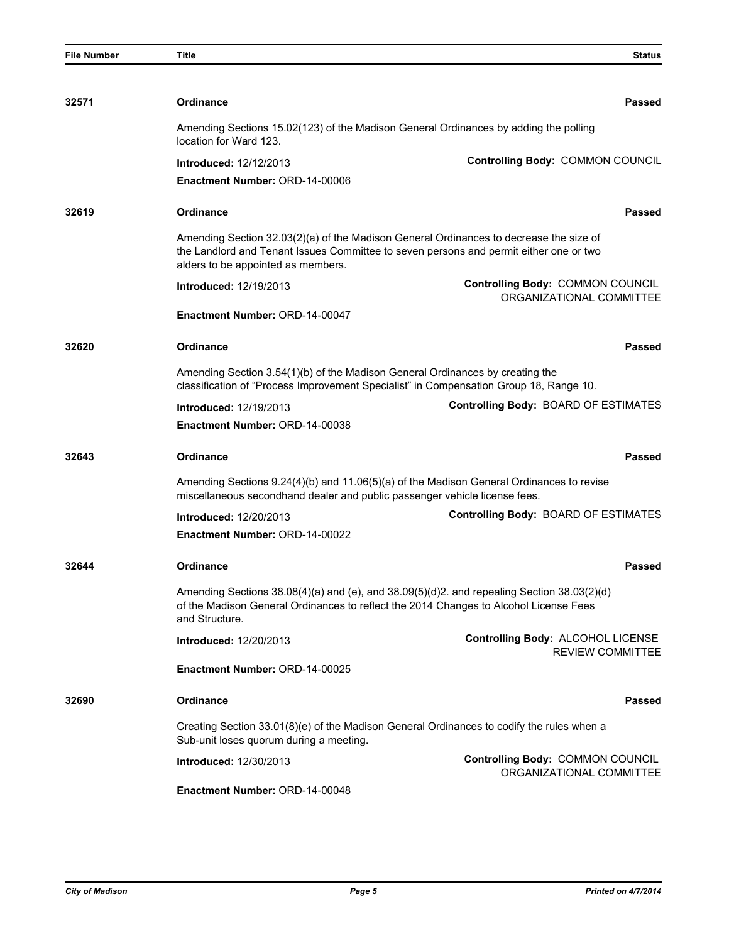| <b>File Number</b> | <b>Title</b>                                                                                                                                                           | <b>Status</b>                                                                                                                                                                       |
|--------------------|------------------------------------------------------------------------------------------------------------------------------------------------------------------------|-------------------------------------------------------------------------------------------------------------------------------------------------------------------------------------|
|                    |                                                                                                                                                                        |                                                                                                                                                                                     |
| 32571              | <b>Ordinance</b>                                                                                                                                                       | Passed                                                                                                                                                                              |
|                    | location for Ward 123.                                                                                                                                                 | Amending Sections 15.02(123) of the Madison General Ordinances by adding the polling                                                                                                |
|                    | <b>Introduced: 12/12/2013</b>                                                                                                                                          | Controlling Body: COMMON COUNCIL                                                                                                                                                    |
|                    | <b>Enactment Number: ORD-14-00006</b>                                                                                                                                  |                                                                                                                                                                                     |
| 32619              | <b>Ordinance</b>                                                                                                                                                       | Passed                                                                                                                                                                              |
|                    | alders to be appointed as members.                                                                                                                                     | Amending Section 32.03(2)(a) of the Madison General Ordinances to decrease the size of<br>the Landlord and Tenant Issues Committee to seven persons and permit either one or two    |
|                    | <b>Introduced: 12/19/2013</b>                                                                                                                                          | Controlling Body: COMMON COUNCIL<br>ORGANIZATIONAL COMMITTEE                                                                                                                        |
|                    | Enactment Number: ORD-14-00047                                                                                                                                         |                                                                                                                                                                                     |
| 32620              | <b>Ordinance</b>                                                                                                                                                       | Passed                                                                                                                                                                              |
|                    | Amending Section 3.54(1)(b) of the Madison General Ordinances by creating the                                                                                          | classification of "Process Improvement Specialist" in Compensation Group 18, Range 10.                                                                                              |
|                    | <b>Introduced: 12/19/2013</b>                                                                                                                                          | <b>Controlling Body: BOARD OF ESTIMATES</b>                                                                                                                                         |
|                    | <b>Enactment Number: ORD-14-00038</b>                                                                                                                                  |                                                                                                                                                                                     |
| 32643              | <b>Ordinance</b>                                                                                                                                                       | <b>Passed</b>                                                                                                                                                                       |
|                    | Amending Sections 9.24(4)(b) and 11.06(5)(a) of the Madison General Ordinances to revise<br>miscellaneous secondhand dealer and public passenger vehicle license fees. |                                                                                                                                                                                     |
|                    | <b>Introduced: 12/20/2013</b>                                                                                                                                          | Controlling Body: BOARD OF ESTIMATES                                                                                                                                                |
|                    | Enactment Number: ORD-14-00022                                                                                                                                         |                                                                                                                                                                                     |
| 32644              | <b>Ordinance</b>                                                                                                                                                       | Passed                                                                                                                                                                              |
|                    | and Structure.                                                                                                                                                         | Amending Sections 38.08(4)(a) and (e), and 38.09(5)(d)2. and repealing Section 38.03(2)(d)<br>of the Madison General Ordinances to reflect the 2014 Changes to Alcohol License Fees |
|                    | <b>Introduced: 12/20/2013</b>                                                                                                                                          | Controlling Body: ALCOHOL LICENSE<br><b>REVIEW COMMITTEE</b>                                                                                                                        |
|                    | Enactment Number: ORD-14-00025                                                                                                                                         |                                                                                                                                                                                     |
| 32690              | <b>Ordinance</b>                                                                                                                                                       | Passed                                                                                                                                                                              |
|                    | Sub-unit loses quorum during a meeting.                                                                                                                                | Creating Section 33.01(8)(e) of the Madison General Ordinances to codify the rules when a                                                                                           |
|                    | <b>Introduced: 12/30/2013</b>                                                                                                                                          | Controlling Body: COMMON COUNCIL<br>ORGANIZATIONAL COMMITTEE                                                                                                                        |
|                    | Enactment Number: ORD-14-00048                                                                                                                                         |                                                                                                                                                                                     |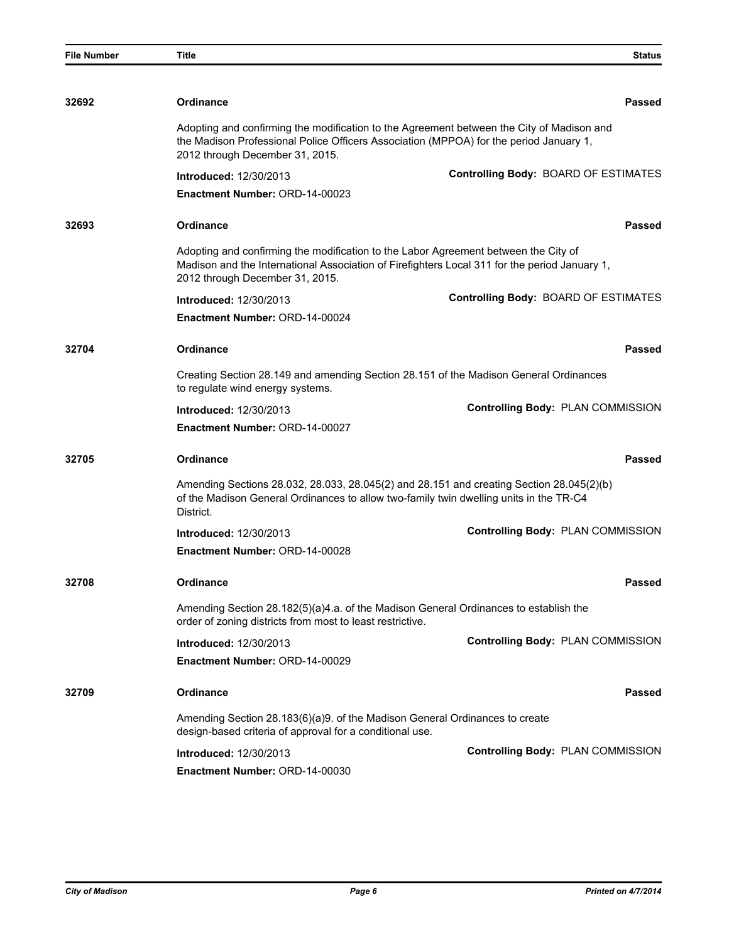| <b>File Number</b> | Title                                                                                                                                                                                                                   | <b>Status</b>                                                                             |
|--------------------|-------------------------------------------------------------------------------------------------------------------------------------------------------------------------------------------------------------------------|-------------------------------------------------------------------------------------------|
|                    |                                                                                                                                                                                                                         |                                                                                           |
| 32692              | <b>Ordinance</b>                                                                                                                                                                                                        | Passed                                                                                    |
|                    | the Madison Professional Police Officers Association (MPPOA) for the period January 1,<br>2012 through December 31, 2015.                                                                                               | Adopting and confirming the modification to the Agreement between the City of Madison and |
|                    | <b>Introduced: 12/30/2013</b>                                                                                                                                                                                           | Controlling Body: BOARD OF ESTIMATES                                                      |
|                    | Enactment Number: ORD-14-00023                                                                                                                                                                                          |                                                                                           |
| 32693              | <b>Ordinance</b>                                                                                                                                                                                                        | Passed                                                                                    |
|                    | Adopting and confirming the modification to the Labor Agreement between the City of<br>Madison and the International Association of Firefighters Local 311 for the period January 1,<br>2012 through December 31, 2015. |                                                                                           |
|                    | <b>Introduced: 12/30/2013</b>                                                                                                                                                                                           | Controlling Body: BOARD OF ESTIMATES                                                      |
|                    | Enactment Number: ORD-14-00024                                                                                                                                                                                          |                                                                                           |
| 32704              | <b>Ordinance</b>                                                                                                                                                                                                        | Passed                                                                                    |
|                    | Creating Section 28.149 and amending Section 28.151 of the Madison General Ordinances<br>to regulate wind energy systems.                                                                                               |                                                                                           |
|                    | <b>Introduced: 12/30/2013</b>                                                                                                                                                                                           | Controlling Body: PLAN COMMISSION                                                         |
|                    | Enactment Number: ORD-14-00027                                                                                                                                                                                          |                                                                                           |
| 32705              | <b>Ordinance</b>                                                                                                                                                                                                        | <b>Passed</b>                                                                             |
|                    | of the Madison General Ordinances to allow two-family twin dwelling units in the TR-C4<br>District.                                                                                                                     | Amending Sections 28.032, 28.033, 28.045(2) and 28.151 and creating Section 28.045(2)(b)  |
|                    | <b>Introduced: 12/30/2013</b>                                                                                                                                                                                           | Controlling Body: PLAN COMMISSION                                                         |
|                    | Enactment Number: ORD-14-00028                                                                                                                                                                                          |                                                                                           |
| 32708              | Ordinance                                                                                                                                                                                                               | Passed                                                                                    |
|                    | Amending Section 28.182(5)(a)4.a. of the Madison General Ordinances to establish the<br>order of zoning districts from most to least restrictive.                                                                       |                                                                                           |
|                    | <b>Introduced: 12/30/2013</b>                                                                                                                                                                                           | Controlling Body: PLAN COMMISSION                                                         |
|                    | <b>Enactment Number: ORD-14-00029</b>                                                                                                                                                                                   |                                                                                           |
| 32709              | <b>Ordinance</b>                                                                                                                                                                                                        | Passed                                                                                    |
|                    | Amending Section 28.183(6)(a)9. of the Madison General Ordinances to create<br>design-based criteria of approval for a conditional use.                                                                                 |                                                                                           |
|                    | <b>Introduced: 12/30/2013</b>                                                                                                                                                                                           | Controlling Body: PLAN COMMISSION                                                         |
|                    | Enactment Number: ORD-14-00030                                                                                                                                                                                          |                                                                                           |
|                    |                                                                                                                                                                                                                         |                                                                                           |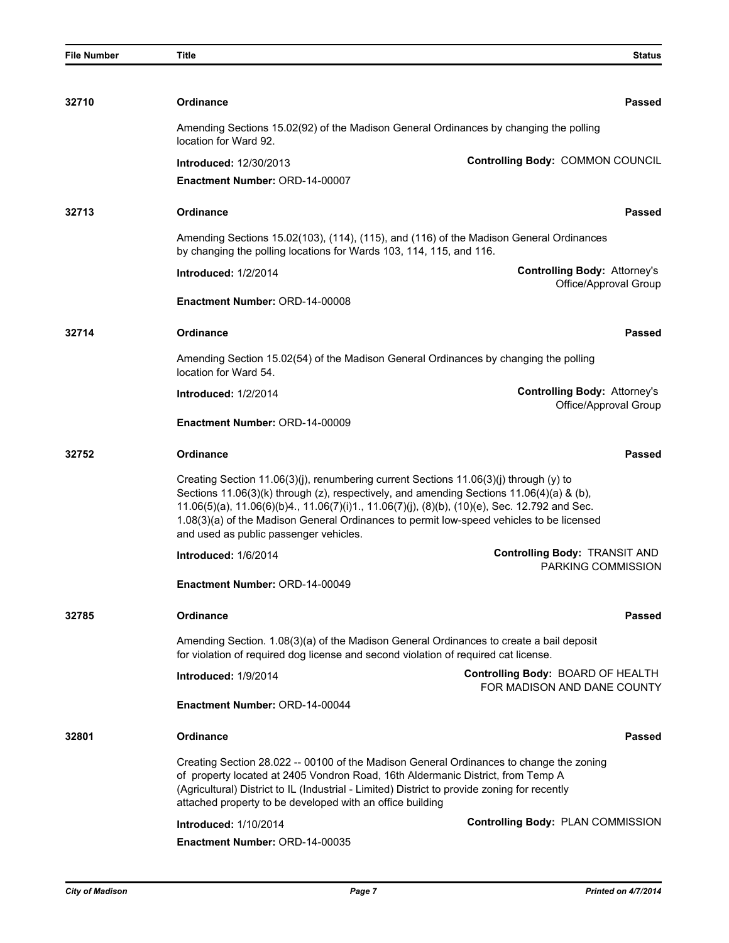| <b>File Number</b> | <b>Title</b>                                                                                                                                                                                                                                                                                                                                                                                                             | <b>Status</b>                                                    |
|--------------------|--------------------------------------------------------------------------------------------------------------------------------------------------------------------------------------------------------------------------------------------------------------------------------------------------------------------------------------------------------------------------------------------------------------------------|------------------------------------------------------------------|
|                    |                                                                                                                                                                                                                                                                                                                                                                                                                          |                                                                  |
| 32710              | <b>Ordinance</b>                                                                                                                                                                                                                                                                                                                                                                                                         | Passed                                                           |
|                    | Amending Sections 15.02(92) of the Madison General Ordinances by changing the polling<br>location for Ward 92.                                                                                                                                                                                                                                                                                                           |                                                                  |
|                    | <b>Introduced: 12/30/2013</b>                                                                                                                                                                                                                                                                                                                                                                                            | Controlling Body: COMMON COUNCIL                                 |
|                    | Enactment Number: ORD-14-00007                                                                                                                                                                                                                                                                                                                                                                                           |                                                                  |
| 32713              | <b>Ordinance</b>                                                                                                                                                                                                                                                                                                                                                                                                         | Passed                                                           |
|                    | Amending Sections 15.02(103), (114), (115), and (116) of the Madison General Ordinances<br>by changing the polling locations for Wards 103, 114, 115, and 116.                                                                                                                                                                                                                                                           |                                                                  |
|                    | <b>Introduced: 1/2/2014</b>                                                                                                                                                                                                                                                                                                                                                                                              | <b>Controlling Body: Attorney's</b><br>Office/Approval Group     |
|                    | Enactment Number: ORD-14-00008                                                                                                                                                                                                                                                                                                                                                                                           |                                                                  |
| 32714              | <b>Ordinance</b>                                                                                                                                                                                                                                                                                                                                                                                                         | <b>Passed</b>                                                    |
|                    | Amending Section 15.02(54) of the Madison General Ordinances by changing the polling<br>location for Ward 54.                                                                                                                                                                                                                                                                                                            |                                                                  |
|                    | <b>Introduced: 1/2/2014</b>                                                                                                                                                                                                                                                                                                                                                                                              | <b>Controlling Body: Attorney's</b>                              |
|                    | Enactment Number: ORD-14-00009                                                                                                                                                                                                                                                                                                                                                                                           | Office/Approval Group                                            |
| 32752              | <b>Ordinance</b>                                                                                                                                                                                                                                                                                                                                                                                                         | <b>Passed</b>                                                    |
|                    | Creating Section 11.06(3)(j), renumbering current Sections 11.06(3)(j) through (y) to<br>Sections 11.06(3)(k) through (z), respectively, and amending Sections 11.06(4)(a) & (b),<br>11.06(5)(a), 11.06(6)(b)4., 11.06(7)(i)1., 11.06(7)(j), (8)(b), (10)(e), Sec. 12.792 and Sec.<br>1.08(3)(a) of the Madison General Ordinances to permit low-speed vehicles to be licensed<br>and used as public passenger vehicles. |                                                                  |
|                    | Introduced: 1/6/2014                                                                                                                                                                                                                                                                                                                                                                                                     | <b>Controlling Body: TRANSIT AND</b><br>PARKING COMMISSION       |
|                    | Enactment Number: ORD-14-00049                                                                                                                                                                                                                                                                                                                                                                                           |                                                                  |
| 32785              | <b>Ordinance</b>                                                                                                                                                                                                                                                                                                                                                                                                         | Passed                                                           |
|                    | Amending Section. 1.08(3)(a) of the Madison General Ordinances to create a bail deposit<br>for violation of required dog license and second violation of required cat license.                                                                                                                                                                                                                                           |                                                                  |
|                    | Introduced: 1/9/2014                                                                                                                                                                                                                                                                                                                                                                                                     | Controlling Body: BOARD OF HEALTH<br>FOR MADISON AND DANE COUNTY |
|                    | Enactment Number: ORD-14-00044                                                                                                                                                                                                                                                                                                                                                                                           |                                                                  |
| 32801              | <b>Ordinance</b>                                                                                                                                                                                                                                                                                                                                                                                                         | Passed                                                           |
|                    | Creating Section 28.022 -- 00100 of the Madison General Ordinances to change the zoning<br>of property located at 2405 Vondron Road, 16th Aldermanic District, from Temp A<br>(Agricultural) District to IL (Industrial - Limited) District to provide zoning for recently<br>attached property to be developed with an office building                                                                                  |                                                                  |
|                    | <b>Introduced: 1/10/2014</b>                                                                                                                                                                                                                                                                                                                                                                                             | Controlling Body: PLAN COMMISSION                                |
|                    | <b>Enactment Number: ORD-14-00035</b>                                                                                                                                                                                                                                                                                                                                                                                    |                                                                  |
|                    |                                                                                                                                                                                                                                                                                                                                                                                                                          |                                                                  |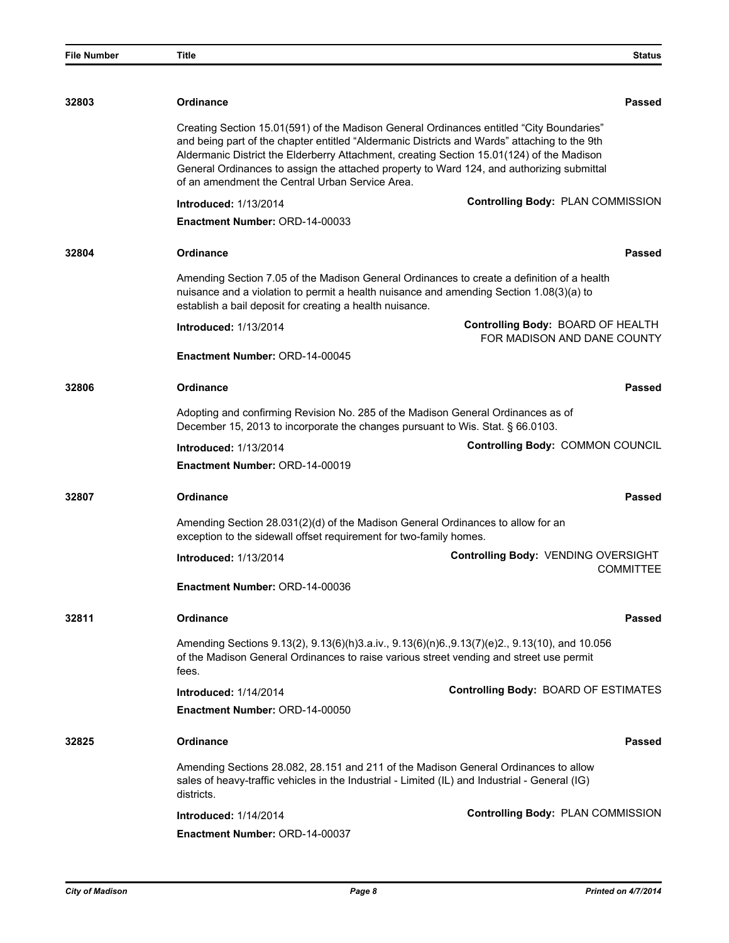| <b>File Number</b> | Title                                                                                                                                                                                                                                                                                                                                                                                                                                 | <b>Status</b>                                                    |
|--------------------|---------------------------------------------------------------------------------------------------------------------------------------------------------------------------------------------------------------------------------------------------------------------------------------------------------------------------------------------------------------------------------------------------------------------------------------|------------------------------------------------------------------|
|                    |                                                                                                                                                                                                                                                                                                                                                                                                                                       |                                                                  |
| 32803              | <b>Ordinance</b>                                                                                                                                                                                                                                                                                                                                                                                                                      | Passed                                                           |
|                    | Creating Section 15.01(591) of the Madison General Ordinances entitled "City Boundaries"<br>and being part of the chapter entitled "Aldermanic Districts and Wards" attaching to the 9th<br>Aldermanic District the Elderberry Attachment, creating Section 15.01(124) of the Madison<br>General Ordinances to assign the attached property to Ward 124, and authorizing submittal<br>of an amendment the Central Urban Service Area. |                                                                  |
|                    | <b>Introduced: 1/13/2014</b>                                                                                                                                                                                                                                                                                                                                                                                                          | Controlling Body: PLAN COMMISSION                                |
|                    | Enactment Number: ORD-14-00033                                                                                                                                                                                                                                                                                                                                                                                                        |                                                                  |
| 32804              | <b>Ordinance</b>                                                                                                                                                                                                                                                                                                                                                                                                                      | Passed                                                           |
|                    | Amending Section 7.05 of the Madison General Ordinances to create a definition of a health<br>nuisance and a violation to permit a health nuisance and amending Section 1.08(3)(a) to<br>establish a bail deposit for creating a health nuisance.                                                                                                                                                                                     |                                                                  |
|                    | <b>Introduced: 1/13/2014</b>                                                                                                                                                                                                                                                                                                                                                                                                          | Controlling Body: BOARD OF HEALTH<br>FOR MADISON AND DANE COUNTY |
|                    | Enactment Number: ORD-14-00045                                                                                                                                                                                                                                                                                                                                                                                                        |                                                                  |
| 32806              | <b>Ordinance</b>                                                                                                                                                                                                                                                                                                                                                                                                                      | Passed                                                           |
|                    | Adopting and confirming Revision No. 285 of the Madison General Ordinances as of<br>December 15, 2013 to incorporate the changes pursuant to Wis. Stat. § 66.0103.                                                                                                                                                                                                                                                                    |                                                                  |
|                    | <b>Introduced: 1/13/2014</b>                                                                                                                                                                                                                                                                                                                                                                                                          | Controlling Body: COMMON COUNCIL                                 |
|                    | Enactment Number: ORD-14-00019                                                                                                                                                                                                                                                                                                                                                                                                        |                                                                  |
| 32807              | <b>Ordinance</b>                                                                                                                                                                                                                                                                                                                                                                                                                      | Passed                                                           |
|                    | Amending Section 28.031(2)(d) of the Madison General Ordinances to allow for an<br>exception to the sidewall offset requirement for two-family homes.                                                                                                                                                                                                                                                                                 |                                                                  |
|                    | <b>Introduced: 1/13/2014</b>                                                                                                                                                                                                                                                                                                                                                                                                          | Controlling Body: VENDING OVERSIGHT<br><b>COMMITTEE</b>          |
|                    | Enactment Number: ORD-14-00036                                                                                                                                                                                                                                                                                                                                                                                                        |                                                                  |
| 32811              | <b>Ordinance</b>                                                                                                                                                                                                                                                                                                                                                                                                                      | Passed                                                           |
|                    | Amending Sections 9.13(2), 9.13(6)(h)3.a.iv., 9.13(6)(n)6.,9.13(7)(e)2., 9.13(10), and 10.056<br>of the Madison General Ordinances to raise various street vending and street use permit<br>fees.                                                                                                                                                                                                                                     |                                                                  |
|                    | <b>Introduced: 1/14/2014</b>                                                                                                                                                                                                                                                                                                                                                                                                          | Controlling Body: BOARD OF ESTIMATES                             |
|                    | Enactment Number: ORD-14-00050                                                                                                                                                                                                                                                                                                                                                                                                        |                                                                  |
| 32825              | <b>Ordinance</b>                                                                                                                                                                                                                                                                                                                                                                                                                      | Passed                                                           |
|                    | Amending Sections 28.082, 28.151 and 211 of the Madison General Ordinances to allow<br>sales of heavy-traffic vehicles in the Industrial - Limited (IL) and Industrial - General (IG)<br>districts.                                                                                                                                                                                                                                   |                                                                  |
|                    | <b>Introduced: 1/14/2014</b>                                                                                                                                                                                                                                                                                                                                                                                                          | Controlling Body: PLAN COMMISSION                                |
|                    | Enactment Number: ORD-14-00037                                                                                                                                                                                                                                                                                                                                                                                                        |                                                                  |
|                    |                                                                                                                                                                                                                                                                                                                                                                                                                                       |                                                                  |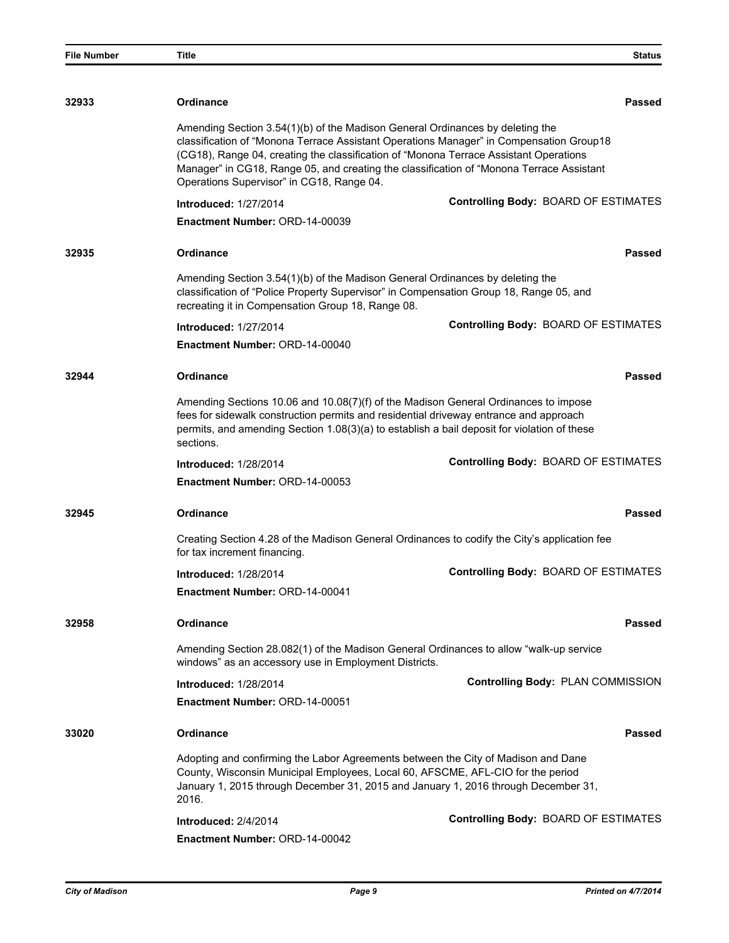| <b>File Number</b> | <b>Title</b>                                                                                                                                                                                                        | <b>Status</b>                                                                                                                                                                       |
|--------------------|---------------------------------------------------------------------------------------------------------------------------------------------------------------------------------------------------------------------|-------------------------------------------------------------------------------------------------------------------------------------------------------------------------------------|
|                    |                                                                                                                                                                                                                     |                                                                                                                                                                                     |
| 32933              | <b>Ordinance</b>                                                                                                                                                                                                    | Passed                                                                                                                                                                              |
|                    | Amending Section 3.54(1)(b) of the Madison General Ordinances by deleting the<br>(CG18), Range 04, creating the classification of "Monona Terrace Assistant Operations<br>Operations Supervisor" in CG18, Range 04. | classification of "Monona Terrace Assistant Operations Manager" in Compensation Group18<br>Manager" in CG18, Range 05, and creating the classification of "Monona Terrace Assistant |
|                    | <b>Introduced: 1/27/2014</b>                                                                                                                                                                                        | <b>Controlling Body: BOARD OF ESTIMATES</b>                                                                                                                                         |
|                    | Enactment Number: ORD-14-00039                                                                                                                                                                                      |                                                                                                                                                                                     |
| 32935              | <b>Ordinance</b>                                                                                                                                                                                                    | Passed                                                                                                                                                                              |
|                    | Amending Section 3.54(1)(b) of the Madison General Ordinances by deleting the<br>recreating it in Compensation Group 18, Range 08.                                                                                  | classification of "Police Property Supervisor" in Compensation Group 18, Range 05, and                                                                                              |
|                    | <b>Introduced: 1/27/2014</b>                                                                                                                                                                                        | Controlling Body: BOARD OF ESTIMATES                                                                                                                                                |
|                    | <b>Enactment Number: ORD-14-00040</b>                                                                                                                                                                               |                                                                                                                                                                                     |
| 32944              | <b>Ordinance</b>                                                                                                                                                                                                    | Passed                                                                                                                                                                              |
|                    | fees for sidewalk construction permits and residential driveway entrance and approach<br>sections.                                                                                                                  | Amending Sections 10.06 and 10.08(7)(f) of the Madison General Ordinances to impose<br>permits, and amending Section 1.08(3)(a) to establish a bail deposit for violation of these  |
|                    | <b>Introduced: 1/28/2014</b>                                                                                                                                                                                        | Controlling Body: BOARD OF ESTIMATES                                                                                                                                                |
|                    | <b>Enactment Number: ORD-14-00053</b>                                                                                                                                                                               |                                                                                                                                                                                     |
| 32945              | <b>Ordinance</b>                                                                                                                                                                                                    | <b>Passed</b>                                                                                                                                                                       |
|                    | for tax increment financing.                                                                                                                                                                                        | Creating Section 4.28 of the Madison General Ordinances to codify the City's application fee                                                                                        |
|                    | <b>Introduced: 1/28/2014</b>                                                                                                                                                                                        | <b>Controlling Body: BOARD OF ESTIMATES</b>                                                                                                                                         |
|                    | Enactment Number: ORD-14-00041                                                                                                                                                                                      |                                                                                                                                                                                     |
| 32958              | <b>Ordinance</b>                                                                                                                                                                                                    | Passed                                                                                                                                                                              |
|                    | windows" as an accessory use in Employment Districts.                                                                                                                                                               | Amending Section 28.082(1) of the Madison General Ordinances to allow "walk-up service                                                                                              |
|                    | <b>Introduced: 1/28/2014</b>                                                                                                                                                                                        | Controlling Body: PLAN COMMISSION                                                                                                                                                   |
|                    | Enactment Number: ORD-14-00051                                                                                                                                                                                      |                                                                                                                                                                                     |
| 33020              | <b>Ordinance</b>                                                                                                                                                                                                    | Passed                                                                                                                                                                              |
|                    | Adopting and confirming the Labor Agreements between the City of Madison and Dane<br>County, Wisconsin Municipal Employees, Local 60, AFSCME, AFL-CIO for the period<br>2016.                                       | January 1, 2015 through December 31, 2015 and January 1, 2016 through December 31,                                                                                                  |
|                    | Introduced: 2/4/2014                                                                                                                                                                                                | Controlling Body: BOARD OF ESTIMATES                                                                                                                                                |
|                    | Enactment Number: ORD-14-00042                                                                                                                                                                                      |                                                                                                                                                                                     |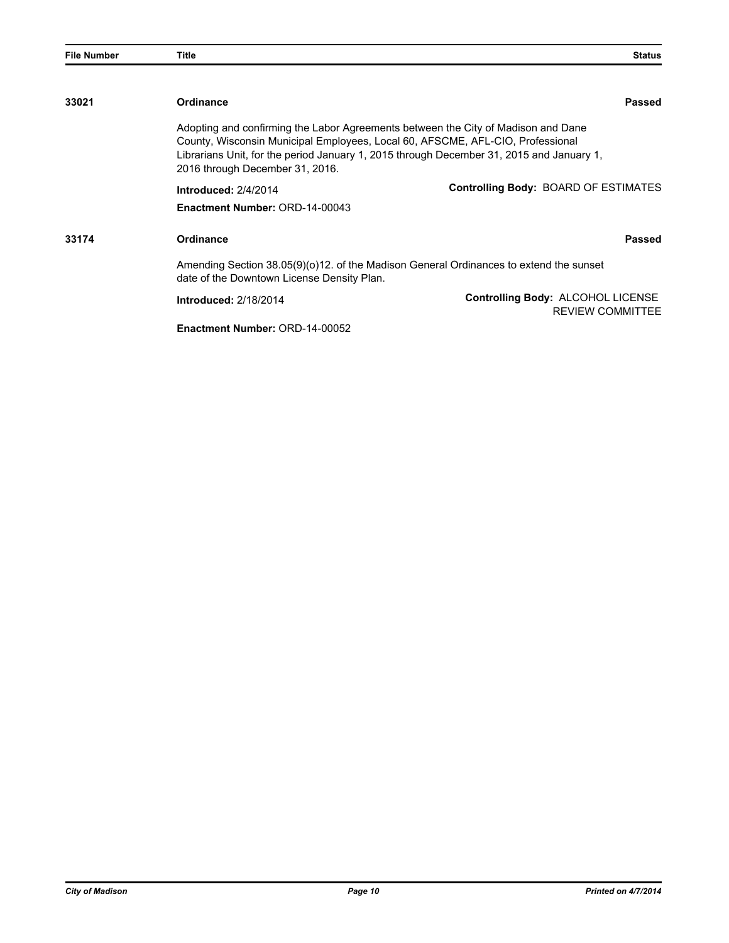| <b>File Number</b> | Title                                                                                                             | <b>Status</b>                                                                                                                                                                 |
|--------------------|-------------------------------------------------------------------------------------------------------------------|-------------------------------------------------------------------------------------------------------------------------------------------------------------------------------|
|                    |                                                                                                                   |                                                                                                                                                                               |
| 33021              | <b>Ordinance</b>                                                                                                  | <b>Passed</b>                                                                                                                                                                 |
|                    | County, Wisconsin Municipal Employees, Local 60, AFSCME, AFL-CIO, Professional<br>2016 through December 31, 2016. | Adopting and confirming the Labor Agreements between the City of Madison and Dane<br>Librarians Unit, for the period January 1, 2015 through December 31, 2015 and January 1, |
|                    | Introduced: 2/4/2014                                                                                              | Controlling Body: BOARD OF ESTIMATES                                                                                                                                          |
|                    | Enactment Number: ORD-14-00043                                                                                    |                                                                                                                                                                               |
| 33174              | <b>Ordinance</b>                                                                                                  | Passed                                                                                                                                                                        |
|                    | date of the Downtown License Density Plan.                                                                        | Amending Section 38.05(9)(0)12. of the Madison General Ordinances to extend the sunset                                                                                        |
|                    | <b>Introduced: 2/18/2014</b>                                                                                      | Controlling Body: ALCOHOL LICENSE<br><b>REVIEW COMMITTEE</b>                                                                                                                  |
|                    | Enactment Number: ORD-14-00052                                                                                    |                                                                                                                                                                               |